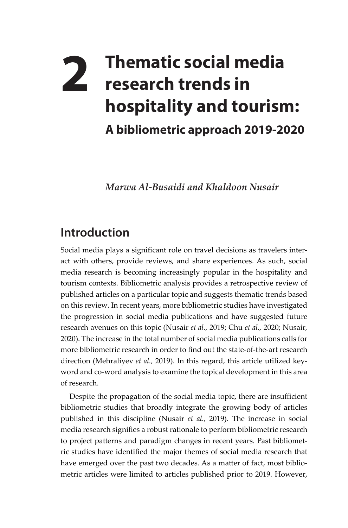## **2 Thematic social media research trends in hospitality and tourism: A bibliometric approach 2019-2020**

*Marwa Al-Busaidi and Khaldoon Nusair*

## **Introduction**

Social media plays a significant role on travel decisions as travelers interact with others, provide reviews, and share experiences. As such, social media research is becoming increasingly popular in the hospitality and tourism contexts. Bibliometric analysis provides a retrospective review of published articles on a particular topic and suggests thematic trends based on this review. In recent years, more bibliometric studies have investigated the progression in social media publications and have suggested future research avenues on this topic (Nusair *et al.,* 2019; Chu *et al.,* 2020; Nusair*,* 2020). The increase in the total number of social media publications calls for more bibliometric research in order to find out the state-of-the-art research direction (Mehraliyev *et al.,* 2019). In this regard, this article utilized keyword and co-word analysis to examine the topical development in this area of research.

Despite the propagation of the social media topic, there are insufficient bibliometric studies that broadly integrate the growing body of articles published in this discipline (Nusair *et al.,* 2019). The increase in social media research signifies a robust rationale to perform bibliometric research to project patterns and paradigm changes in recent years. Past bibliometric studies have identified the major themes of social media research that have emerged over the past two decades. As a matter of fact, most bibliometric articles were limited to articles published prior to 2019. However,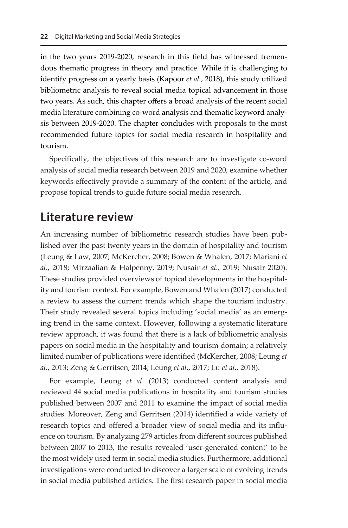in the two years 2019-2020, research in this field has witnessed tremendous thematic progress in theory and practice. While it is challenging to identify progress on a yearly basis (Kapoor *et al.*, 2018), this study utilized bibliometric analysis to reveal social media topical advancement in those two years. As such, this chapter offers a broad analysis of the recent social media literature combining co-word analysis and thematic keyword analysis between 2019-2020. The chapter concludes with proposals to the most recommended future topics for social media research in hospitality and tourism.

Specifically, the objectives of this research are to investigate co-word analysis of social media research between 2019 and 2020, examine whether keywords effectively provide a summary of the content of the article, and propose topical trends to guide future social media research.

## **Literature review**

An increasing number of bibliometric research studies have been published over the past twenty years in the domain of hospitality and tourism (Leung & Law, 2007; McKercher, 2008; Bowen & Whalen, 2017; Mariani *et al*., 2018; Mirzaalian & Halpenny, 2019; Nusair *et al.,* 2019; Nusair 2020). These studies provided overviews of topical developments in the hospitality and tourism context. For example, Bowen and Whalen (2017) conducted a review to assess the current trends which shape the tourism industry. Their study revealed several topics including 'social media' as an emerging trend in the same context. However, following a systematic literature review approach, it was found that there is a lack of bibliometric analysis papers on social media in the hospitality and tourism domain; a relatively limited number of publications were identified (McKercher, 2008; Leung *et al.*, 2013; Zeng & Gerritsen, 2014; Leung *et al.*, 2017; Lu *et al.*, 2018).

For example, Leung *et al*. (2013) conducted content analysis and reviewed 44 social media publications in hospitality and tourism studies published between 2007 and 2011 to examine the impact of social media studies. Moreover, Zeng and Gerritsen (2014) identified a wide variety of research topics and offered a broader view of social media and its influence on tourism. By analyzing 279 articles from different sources published between 2007 to 2013, the results revealed 'user-generated content' to be the most widely used term in social media studies. Furthermore, additional investigations were conducted to discover a larger scale of evolving trends in social media published articles. The first research paper in social media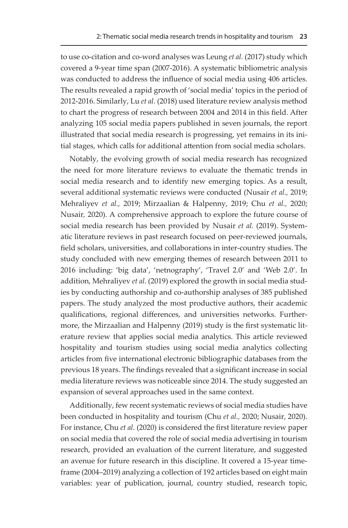to use co-citation and co-word analyses was Leung *et al.* (2017) study which covered a 9-year time span (2007-2016). A systematic bibliometric analysis was conducted to address the influence of social media using 406 articles. The results revealed a rapid growth of 'social media' topics in the period of 2012-2016. Similarly, Lu *et al.* (2018) used literature review analysis method to chart the progress of research between 2004 and 2014 in this field. After analyzing 105 social media papers published in seven journals, the report illustrated that social media research is progressing, yet remains in its initial stages, which calls for additional attention from social media scholars.

Notably, the evolving growth of social media research has recognized the need for more literature reviews to evaluate the thematic trends in social media research and to identify new emerging topics. As a result, several additional systematic reviews were conducted (Nusair *et al.,* 2019; Mehraliyev *et al.,* 2019; Mirzaalian & Halpenny, 2019; Chu *et al.,* 2020; Nusair*,* 2020). A comprehensive approach to explore the future course of social media research has been provided by Nusair *et al.* (2019). Systematic literature reviews in past research focused on peer-reviewed journals, field scholars, universities, and collaborations in inter-country studies. The study concluded with new emerging themes of research between 2011 to 2016 including: 'big data', 'netnography', 'Travel 2.0' and 'Web 2.0'. In addition, Mehraliyev *et al.* (2019) explored the growth in social media studies by conducting authorship and co-authorship analyses of 385 published papers. The study analyzed the most productive authors, their academic qualifications, regional differences, and universities networks. Furthermore, the Mirzaalian and Halpenny (2019) study is the first systematic literature review that applies social media analytics. This article reviewed hospitality and tourism studies using social media analytics collecting articles from five international electronic bibliographic databases from the previous 18 years. The findings revealed that a significant increase in social media literature reviews was noticeable since 2014. The study suggested an expansion of several approaches used in the same context.

Additionally, few recent systematic reviews of social media studies have been conducted in hospitality and tourism (Chu *et al.,* 2020; Nusair, 2020). For instance, Chu *et al.* (2020) is considered the first literature review paper on social media that covered the role of social media advertising in tourism research, provided an evaluation of the current literature, and suggested an avenue for future research in this discipline. It covered a 15-year timeframe (2004–2019) analyzing a collection of 192 articles based on eight main variables: year of publication, journal, country studied, research topic,